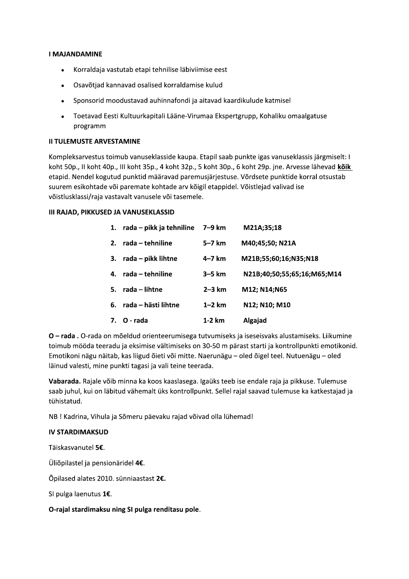#### **I MAJANDAMINE**

- Korraldaja vastutab etapi tehnilise läbiviimise eest  $\bullet$
- Osavõtjad kannavad osalised korraldamise kulud
- Sponsorid moodustavad auhinnafondi ja aitavad kaardikulude katmisel
- Toetavad Eesti Kultuurkapitali Lääne-Virumaa Ekspertgrupp, Kohaliku omaalgatuse programm

### **II TULEMUSTE ARVESTAMINE**

Kompleksarvestus toimub vanuseklasside kaupa. Etapil saab punkte igas vanuseklassis järgmiselt: I koht 50p., II koht 40p., III koht 35p., 4 koht 32p., 5 koht 30p., 6 koht 29p. jne. Arvesse lähevad koik etapid. Nendel kogutud punktid määravad paremusjärjestuse. Võrdsete punktide korral otsustab suurem esikohtade või paremate kohtade arv kõigil etappidel. Võistlejad valivad ise võistlusklassi/raja vastavalt vanusele või tasemele.

### III RAJAD, PIKKUSED JA VANUSEKLASSID

|         | 1. $rada - pikk$ ja tehniline $7-9$ km |          | M21A;35;18                  |
|---------|----------------------------------------|----------|-----------------------------|
| $2_{-}$ | rada – tehniline                       | 5–7 km   | M40;45;50; N21A             |
|         | 3. $rada - p$ ikk lihtne               | $4-7$ km | M21B;55;60;16;N35;N18       |
| 4.      | rada – tehniline                       | $3-5$ km | N21B;40;50;55;65;16;M65;M14 |
|         | 5. rada – lihtne                       | $2-3$ km | M12; N14; N65               |
| 6.      | rada – hästi lihtne                    | $1-2$ km | N12; N10; M10               |
|         | 7. O - rada                            | 1-2 km   | Algajad                     |

O - rada . O-rada on mõeldud orienteerumisega tutvumiseks ja iseseisvaks alustamiseks. Liikumine toimub mööda teeradu ja eksimise vältimiseks on 30-50 m pärast starti ja kontrollpunkti emotikonid. Emotikoni nägu näitab, kas liigud õieti või mitte. Naerunägu - oled õigel teel. Nutuenägu - oled läinud valesti, mine punkti tagasi ja vali teine teerada.

Vabarada. Rajale võib minna ka koos kaaslasega. Igaüks teeb ise endale raja ja pikkuse. Tulemuse saab juhul, kui on läbitud vähemalt üks kontrollpunkt. Sellel rajal saavad tulemuse ka katkestajad ja tühistatud.

NB ! Kadrina, Vihula ja Sõmeru päevaku rajad võivad olla lühemad!

### **IV STARDIMAKSUD**

Täiskasvanutel 5€.

Üliõpilastel ja pensionäridel 4€.

Õpilased alates 2010. sünniaastast 2€.

SI pulga laenutus 1€.

O-rajal stardimaksu ning SI pulga renditasu pole.